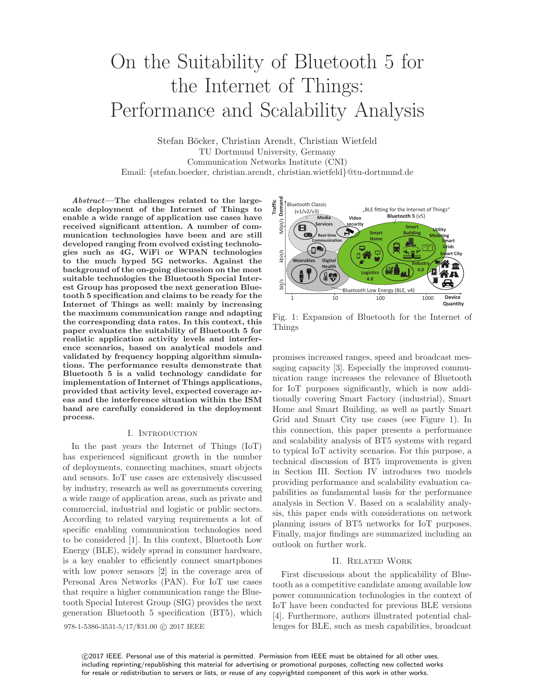# On the Suitability of Bluetooth 5 for the Internet of Things: Performance and Scalability Analysis

Stefan Böcker, Christian Arendt, Christian Wietfeld TU Dortmund University, Germany Communication Networks Institute (CNI) Email: {stefan.boecker, christian.arendt, christian.wietfeld}@tu-dortmund.de

Abstract—The challenges related to the largescale deployment of the Internet of Things to enable a wide range of application use cases have received significant attention. A number of communication technologies have been and are still developed ranging from evolved existing technologies such as 4G, WiFi or WPAN technologies to the much hyped 5G networks. Against the background of the on-going discussion on the most suitable technologies the Bluetooth Special Interest Group has proposed the next generation Bluetooth 5 specification and claims to be ready for the Internet of Things as well: mainly by increasing the maximum communication range and adapting the corresponding data rates. In this context, this paper evaluates the suitability of Bluetooth 5 for realistic application activity levels and interference scenarios, based on analytical models and validated by frequency hopping algorithm simulations. The performance results demonstrate that Bluetooth 5 is a valid technology candidate for implementation of Internet of Things applications, provided that activity level, expected coverage areas and the interference situation within the ISM band are carefully considered in the deployment process.

### I. Introduction

In the past years the Internet of Things (IoT) has experienced significant growth in the number of deployments, connecting machines, smart objects and sensors. IoT use cases are extensively discussed by industry, research as well as governments covering a wide range of application areas, such as private and commercial, industrial and logistic or public sectors. According to related varying requirements a lot of specific enabling communication technologies need to be considered [1]. In this context, Bluetooth Low Energy (BLE), widely spread in consumer hardware, is a key enabler to efficiently connect smartphones with low power sensors [2] in the coverage area of Personal Area Networks (PAN). For IoT use cases that require a higher communication range the Bluetooth Special Interest Group (SIG) provides the next generation Bluetooth 5 specification (BT5), which 978-1-5386-3531-5/17/\$31.00 @ 2017 IEEE



Fig. 1: Expansion of Bluetooth for the Internet of Things

promises increased ranges, speed and broadcast messaging capacity [3]. Especially the improved communication range increases the relevance of Bluetooth for IoT purposes significantly, which is now additionally covering Smart Factory (industrial), Smart Home and Smart Building, as well as partly Smart Grid and Smart City use cases (see Figure 1). In this connection, this paper presents a performance and scalability analysis of BT5 systems with regard to typical IoT activity scenarios. For this purpose, a technical discussion of BT5 improvements is given in Section III. Section IV introduces two models providing performance and scalability evaluation capabilities as fundamental basis for the performance analysis in Section V. Based on a scalability analysis, this paper ends with considerations on network planning issues of BT5 networks for IoT purposes. Finally, major findings are summarized including an outlook on further work.

#### II. Related Work

First discussions about the applicability of Bluetooth as a competitive candidate among available low power communication technologies in the context of IoT have been conducted for previous BLE versions [4]. Furthermore, authors illustrated potential challenges for BLE, such as mesh capabilities, broadcast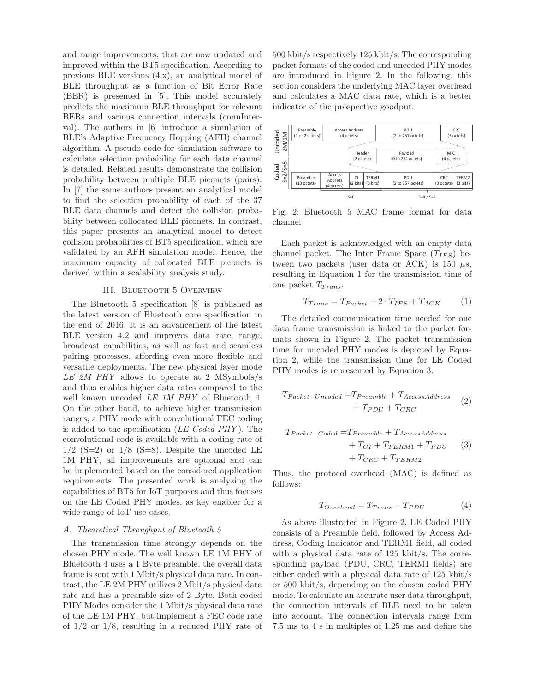and range improvements, that are now updated and improved within the BT5 specification. According to previous BLE versions (4.x), an analytical model of BLE throughput as a function of Bit Error Rate (BER) is presented in [5]. This model accurately predicts the maximum BLE throughput for relevant BERs and various connection intervals (connInterval). The authors in [6] introduce a simulation of BLE's Adaptive Frequency Hopping (AFH) channel algorithm. A pseudo-code for simulation software to calculate selection probability for each data channel is detailed. Related results demonstrate the collision probability between multiple BLE piconets (pairs). In [7] the same authors present an analytical model to find the selection probability of each of the 37 BLE data channels and detect the collision probability between collocated BLE piconets. In contrast, this paper presents an analytical model to detect collision probabilities of BT5 specification, which are validated by an AFH simulation model. Hence, the maximum capacity of collocated BLE piconets is derived within a scalability analysis study.

#### III. Bluetooth 5 Overview

The Bluetooth 5 specification [8] is published as the latest version of Bluetooth core specification in the end of 2016. It is an advancement of the latest BLE version 4.2 and improves data rate, range, broadcast capabilities, as well as fast and seamless pairing processes, affording even more flexible and versatile deployments. The new physical layer mode LE 2M PHY allows to operate at 2 MSymbols/s and thus enables higher data rates compared to the well known uncoded LE 1M PHY of Bluetooth 4. On the other hand, to achieve higher transmission ranges, a PHY mode with convolutional FEC coding is added to the specification (LE Coded PHY ). The convolutional code is available with a coding rate of  $1/2$  (S=2) or  $1/8$  (S=8). Despite the uncoded LE 1M PHY, all improvements are optional and can be implemented based on the considered application requirements. The presented work is analyzing the capabilities of BT5 for IoT purposes and thus focuses on the LE Coded PHY modes, as key enabler for a wide range of IoT use cases.

### A. Theoretical Throughput of Bluetooth 5

The transmission time strongly depends on the chosen PHY mode. The well known LE 1M PHY of Bluetooth 4 uses a 1 Byte preamble, the overall data frame is sent with 1 Mbit/s physical data rate. In contrast, the LE 2M PHY utilizes 2 Mbit/s physical data rate and has a preamble size of 2 Byte. Both coded PHY Modes consider the 1 Mbit/s physical data rate of the LE 1M PHY, but implement a FEC code rate of 1/2 or 1/8, resulting in a reduced PHY rate of 500 kbit/s respectively 125 kbit/s. The corresponding packet formats of the coded and uncoded PHY modes are introduced in Figure 2. In the following, this section considers the underlying MAC layer overhead and calculates a MAC data rate, which is a better indicator of the prospective goodput.



Fig. 2: Bluetooth 5 MAC frame format for data channel

Each packet is acknowledged with an empty data channel packet. The Inter Frame Space  $(T_{IFS})$  between two packets (user data or ACK) is 150  $\mu s$ , resulting in Equation 1 for the transmission time of one packet  $T_{Trans}$ .

$$
T_{Trans} = T_{Packet} + 2 \cdot T_{IFS} + T_{ACK} \tag{1}
$$

The detailed communication time needed for one data frame transmission is linked to the packet formats shown in Figure 2. The packet transmission time for uncoded PHY modes is depicted by Equation 2, while the transmission time for LE Coded PHY modes is represented by Equation 3.

$$
T_{Packet-Uncoded} = T_{Preamble} + T_{AccessAddress}
$$
  
+
$$
T_{PDU} + T_{CRC}
$$
 (2)

$$
T_{Packet-Coded} = T_{Preamble} + T_{AccessAddress}
$$

$$
+ T_{CI} + T_{TERM1} + T_{PDU}
$$

$$
+ T_{CRC} + T_{TERM2}
$$

$$
(3)
$$

Thus, the protocol overhead (MAC) is defined as follows:

$$
T_{Overhead} = T_{Trans} - T_{PDU} \tag{4}
$$

As above illustrated in Figure 2, LE Coded PHY consists of a Preamble field, followed by Access Address, Coding Indicator and TERM1 field, all coded with a physical data rate of 125 kbit/s. The corresponding payload (PDU, CRC, TERM1 fields) are either coded with a physical data rate of 125 kbit/s or 500 kbit/s, depending on the chosen coded PHY mode. To calculate an accurate user data throughput, the connection intervals of BLE need to be taken into account. The connection intervals range from 7.5 ms to 4 s in multiples of 1.25 ms and define the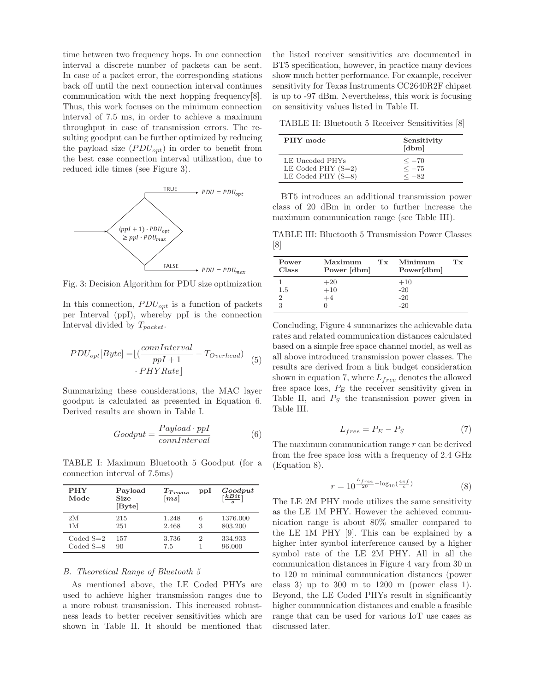time between two frequency hops. In one connection interval a discrete number of packets can be sent. In case of a packet error, the corresponding stations back off until the next connection interval continues communication with the next hopping frequency[8]. Thus, this work focuses on the minimum connection interval of 7.5 ms, in order to achieve a maximum throughput in case of transmission errors. The resulting goodput can be further optimized by reducing the payload size  $(PDU_{opt})$  in order to benefit from the best case connection interval utilization, due to reduced idle times (see Figure 3).



Fig. 3: Decision Algorithm for PDU size optimization

In this connection,  $PDU_{opt}$  is a function of packets per Interval (ppI), whereby ppI is the connection Interval divided by  $T_{packet}$ .

$$
PDU_{opt}[Byte] = \lfloor \left( \frac{connInterval}{ppI + 1} - T_{Overhead} \right) \tag{5}
$$

$$
\cdot PHY Rate \rfloor
$$

Summarizing these considerations, the MAC layer goodput is calculated as presented in Equation 6. Derived results are shown in Table I.

$$
Goodput = \frac{Payload \cdot ppI}{conInterval} \tag{6}
$$

TABLE I: Maximum Bluetooth 5 Goodput (for a connection interval of 7.5ms)

| <b>PHY</b><br>Mode | Payload<br>Size<br>[Byte] | $T_{Trans}$<br>$\left[ms\right]$ | ppl | Goodput<br>$\left[\frac{kBit}{a}\right]$ |
|--------------------|---------------------------|----------------------------------|-----|------------------------------------------|
| 2M                 | 215                       | 1.248                            | 6   | 1376.000                                 |
| 1 M                | 251                       | 2.468                            | 3   | 803.200                                  |
| $CodedS=2$         | 157                       | 3.736                            | 2   | 334.933                                  |
| $Coded S = 8$      | 90                        | 7.5                              |     | 96.000                                   |

#### B. Theoretical Range of Bluetooth 5

As mentioned above, the LE Coded PHYs are used to achieve higher transmission ranges due to a more robust transmission. This increased robustness leads to better receiver sensitivities which are shown in Table II. It should be mentioned that

the listed receiver sensitivities are documented in BT5 specification, however, in practice many devices show much better performance. For example, receiver sensitivity for Texas Instruments CC2640R2F chipset is up to -97 dBm. Nevertheless, this work is focusing on sensitivity values listed in Table II.

TABLE II: Bluetooth 5 Receiver Sensitivities [8]

| PHY mode             | Sensitivity<br>$\left[\text{dbm}\right]$ |
|----------------------|------------------------------------------|
| LE Uncoded PHYs      | $<-70$                                   |
| LE Coded PHY $(S=2)$ | $<-75$                                   |
| LE Coded PHY $(S=8)$ | $<-82$                                   |

BT5 introduces an additional transmission power class of 20 dBm in order to further increase the maximum communication range (see Table III).

TABLE III: Bluetooth 5 Transmission Power Classes [8]

| Power<br>Class | Maximum<br>Power [dbm] | $T_{\rm X}$ | Minimum<br>Power[dbm] | T <sub>x</sub> |
|----------------|------------------------|-------------|-----------------------|----------------|
|                | $+20$                  |             | $+10$                 |                |
| 1.5            | $+10$                  |             | $-20$                 |                |
| 2              | $+4$                   |             | $-20$                 |                |
| 3              |                        |             | $-20$                 |                |

Concluding, Figure 4 summarizes the achievable data rates and related communication distances calculated based on a simple free space channel model, as well as all above introduced transmission power classes. The results are derived from a link budget consideration shown in equation 7, where  $L_{free}$  denotes the allowed free space loss,  $P_E$  the receiver sensitivity given in Table II, and  $P<sub>S</sub>$  the transmission power given in Table III.

$$
L_{free} = P_E - P_S \tag{7}
$$

The maximum communication range r can be derived from the free space loss with a frequency of 2.4 GHz (Equation 8).

$$
r = 10^{\frac{L_{free}}{20} - \log_{10}(\frac{4\pi f}{c})}
$$
 (8)

The LE 2M PHY mode utilizes the same sensitivity as the LE 1M PHY. However the achieved communication range is about 80% smaller compared to the LE 1M PHY [9]. This can be explained by a higher inter symbol interference caused by a higher symbol rate of the LE 2M PHY. All in all the communication distances in Figure 4 vary from 30 m to 120 m minimal communication distances (power class 3) up to 300 m to 1200 m (power class 1). Beyond, the LE Coded PHYs result in significantly higher communication distances and enable a feasible range that can be used for various IoT use cases as discussed later.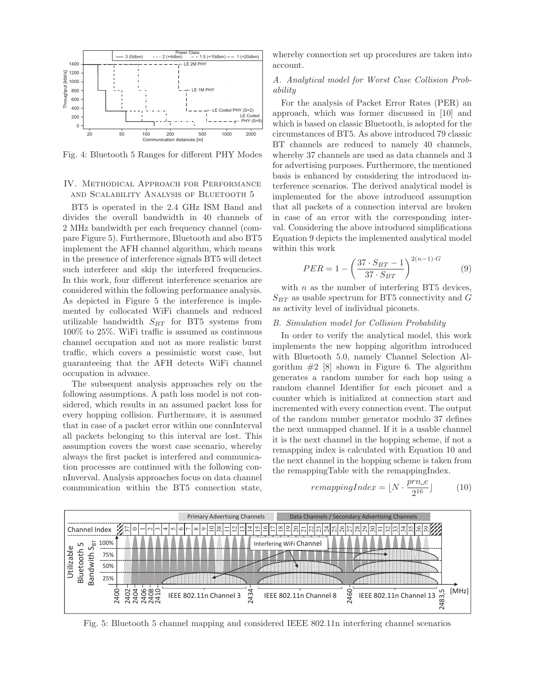

Fig. 4: Bluetooth 5 Ranges for different PHY Modes

## IV. Methodical Approach for Performance and Scalability Analysis of Bluetooth 5

BT5 is operated in the 2.4 GHz ISM Band and divides the overall bandwidth in 40 channels of 2 MHz bandwidth per each frequency channel (compare Figure 5). Furthermore, Bluetooth and also BT5 implement the AFH channel algorithm, which means in the presence of interference signals BT5 will detect such interferer and skip the interfered frequencies. In this work, four different interference scenarios are considered within the following performance analysis. As depicted in Figure 5 the interference is implemented by collocated WiFi channels and reduced utilizable bandwidth  $S_{BT}$  for BT5 systems from 100% to 25%. WiFi traffic is assumed as continuous channel occupation and not as more realistic burst traffic, which covers a pessimistic worst case, but guaranteeing that the AFH detects WiFi channel occupation in advance.

The subsequent analysis approaches rely on the following assumptions. A path loss model is not considered, which results in an assumed packet loss for every hopping collision. Furthermore, it is assumed that in case of a packet error within one connInterval all packets belonging to this interval are lost. This assumption covers the worst case scenario, whereby always the first packet is interfered and communication processes are continued with the following connInverval. Analysis approaches focus on data channel communication within the BT5 connection state,

whereby connection set up procedures are taken into account.

# A. Analytical model for Worst Case Collision Probability

For the analysis of Packet Error Rates (PER) an approach, which was former discussed in [10] and which is based on classic Bluetooth, is adopted for the circumstances of BT5. As above introduced 79 classic BT channels are reduced to namely 40 channels, whereby 37 channels are used as data channels and 3 for advertising purposes. Furthermore, the mentioned basis is enhanced by considering the introduced interference scenarios. The derived analytical model is implemented for the above introduced assumption that all packets of a connection interval are broken in case of an error with the corresponding interval. Considering the above introduced simplifications Equation 9 depicts the implemented analytical model within this work

$$
PER = 1 - \left(\frac{37 \cdot S_{BT} - 1}{37 \cdot S_{BT}}\right)^{2(n-1)\cdot G} \tag{9}
$$

with  $n$  as the number of interfering BT5 devices,  $S_{BT}$  as usable spectrum for BT5 connectivity and G as activity level of individual piconets.

# B. Simulation model for Collision Probability

In order to verify the analytical model, this work implements the new hopping algorithm introduced with Bluetooth 5.0, namely Channel Selection Algorithm  $#2$  [8] shown in Figure 6. The algorithm generates a random number for each hop using a random channel Identifier for each piconet and a counter which is initialized at connection start and incremented with every connection event. The output of the random number generator modulo 37 defines the next unmapped channel. If it is a usable channel it is the next channel in the hopping scheme, if not a remapping index is calculated with Equation 10 and the next channel in the hopping scheme is taken from the remappingTable with the remappingIndex.

$$
remappingIndex = \lfloor N \cdot \frac{prn_{-}e}{2^{16}} \rfloor \tag{10}
$$



Fig. 5: Bluetooth 5 channel mapping and considered IEEE 802.11n interfering channel scenarios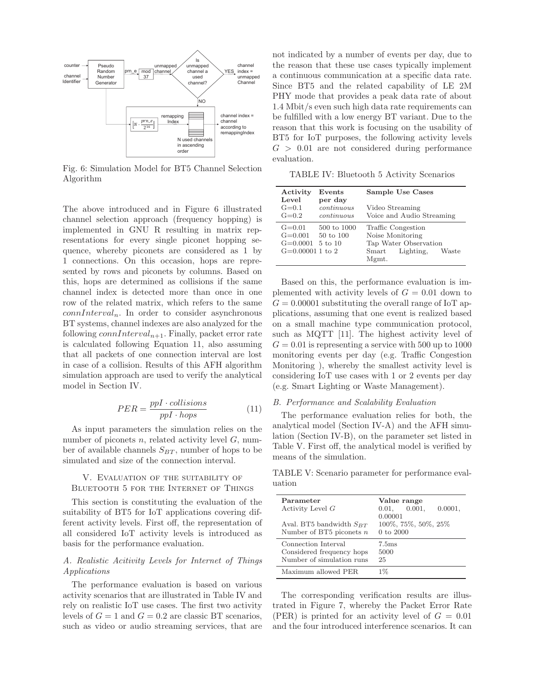

Fig. 6: Simulation Model for BT5 Channel Selection Algorithm

The above introduced and in Figure 6 illustrated channel selection approach (frequency hopping) is implemented in GNU R resulting in matrix representations for every single piconet hopping sequence, whereby piconets are considered as 1 by 1 connections. On this occasion, hops are represented by rows and piconets by columns. Based on this, hops are determined as collisions if the same channel index is detected more than once in one row of the related matrix, which refers to the same  $connInterval_n$ . In order to consider asynchronous BT systems, channel indexes are also analyzed for the following  $connInterval_{n+1}$ . Finally, packet error rate is calculated following Equation 11, also assuming that all packets of one connection interval are lost in case of a collision. Results of this AFH algorithm simulation approach are used to verify the analytical model in Section IV.

$$
PER = \frac{ppI \cdot collisions}{ppI \cdot hops} \tag{11}
$$

As input parameters the simulation relies on the number of piconets  $n$ , related activity level  $G$ , number of available channels  $S_{BT}$ , number of hops to be simulated and size of the connection interval.

# V. Evaluation of the suitability of Bluetooth 5 for the Internet of Things

This section is constituting the evaluation of the suitability of BT5 for IoT applications covering different activity levels. First off, the representation of all considered IoT activity levels is introduced as basis for the performance evaluation.

# A. Realistic Acitivity Levels for Internet of Things Applications

The performance evaluation is based on various activity scenarios that are illustrated in Table IV and rely on realistic IoT use cases. The first two activity levels of  $G = 1$  and  $G = 0.2$  are classic BT scenarios, such as video or audio streaming services, that are

not indicated by a number of events per day, due to the reason that these use cases typically implement a continuous communication at a specific data rate. Since BT5 and the related capability of LE 2M PHY mode that provides a peak data rate of about 1.4 Mbit/s even such high data rate requirements can be fulfilled with a low energy BT variant. Due to the reason that this work is focusing on the usability of BT5 for IoT purposes, the following activity levels  $G > 0.01$  are not considered during performance evaluation.

TABLE IV: Bluetooth 5 Activity Scenarios

| Activity<br>Level                                        | $\rm{Events}$<br>per day                       | Sample Use Cases                                                                                                    |
|----------------------------------------------------------|------------------------------------------------|---------------------------------------------------------------------------------------------------------------------|
| $G = 0.1$<br>$G=0.2$                                     | continuous<br>continuous                       | Video Streaming<br>Voice and Audio Streaming                                                                        |
| $G=0.01$<br>$G=0.001$<br>$G=0.0001$<br>$G=0.000011$ to 2 | 500 to 1000<br>50 to 100<br>$5 \text{ to } 10$ | Traffic Congestion<br>Noise Monitoring<br>Tap Water Observation<br>Lighting,<br>Waste<br>S <sub>mart</sub><br>Mgmt. |

Based on this, the performance evaluation is implemented with activity levels of  $G = 0.01$  down to  $G = 0.00001$  substituting the overall range of IoT applications, assuming that one event is realized based on a small machine type communication protocol, such as MQTT [11]. The highest activity level of  $G = 0.01$  is representing a service with 500 up to 1000 monitoring events per day (e.g. Traffic Congestion Monitoring ), whereby the smallest activity level is considering IoT use cases with 1 or 2 events per day (e.g. Smart Lighting or Waste Management).

### B. Performance and Scalability Evaluation

The performance evaluation relies for both, the analytical model (Section IV-A) and the AFH simulation (Section IV-B), on the parameter set listed in Table V. First off, the analytical model is verified by means of the simulation.

TABLE V: Scenario parameter for performance evaluation

| Parameter<br>Activity Level G                                                 | Value range<br>0.001,<br>0.01,<br>$0.0001$ ,<br>0.00001 |
|-------------------------------------------------------------------------------|---------------------------------------------------------|
| Aval. BT5 bandwidth $S_{BT}$<br>Number of BT5 piconets $n$                    | 100%, 75%, 50%, 25%<br>$0$ to $2000$                    |
| Connection Interval<br>Considered frequency hops<br>Number of simulation runs | 7.5 <sub>ms</sub><br>5000<br>25                         |
| Maximum allowed PER                                                           | $1\%$                                                   |

The corresponding verification results are illustrated in Figure 7, whereby the Packet Error Rate (PER) is printed for an activity level of  $G = 0.01$ and the four introduced interference scenarios. It can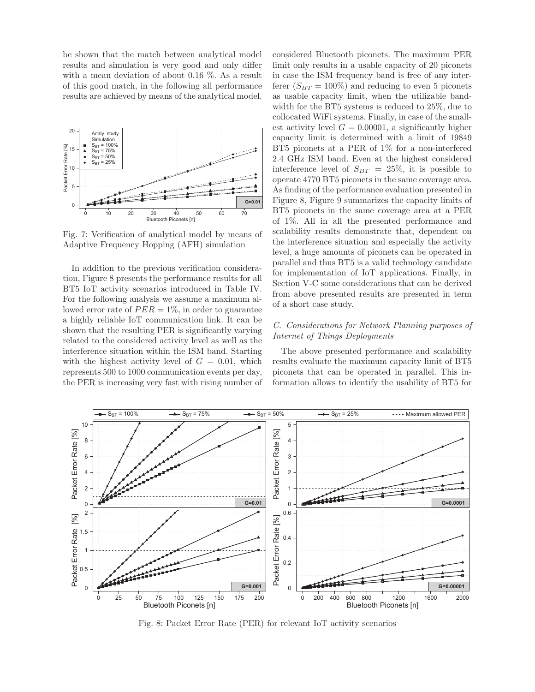be shown that the match between analytical model results and simulation is very good and only differ with a mean deviation of about 0.16 %. As a result of this good match, in the following all performance results are achieved by means of the analytical model.



Fig. 7: Verification of analytical model by means of Adaptive Frequency Hopping (AFH) simulation

In addition to the previous verification consideration, Figure 8 presents the performance results for all BT5 IoT activity scenarios introduced in Table IV. For the following analysis we assume a maximum allowed error rate of  $PER = 1\%$ , in order to guarantee a highly reliable IoT communication link. It can be shown that the resulting PER is significantly varying related to the considered activity level as well as the interference situation within the ISM band. Starting with the highest activity level of  $G = 0.01$ , which represents 500 to 1000 communication events per day, the PER is increasing very fast with rising number of considered Bluetooth piconets. The maximum PER limit only results in a usable capacity of 20 piconets in case the ISM frequency band is free of any interferer  $(S_{BT} = 100\%)$  and reducing to even 5 piconets as usable capacity limit, when the utilizable bandwidth for the BT5 systems is reduced to 25%, due to collocated WiFi systems. Finally, in case of the smallest activity level  $G = 0.00001$ , a significantly higher capacity limit is determined with a limit of 19849 BT5 piconets at a PER of 1% for a non-interfered 2.4 GHz ISM band. Even at the highest considered interference level of  $S_{BT} = 25\%$ , it is possible to operate 4770 BT5 piconets in the same coverage area. As finding of the performance evaluation presented in Figure 8, Figure 9 summarizes the capacity limits of BT5 piconets in the same coverage area at a PER of 1%. All in all the presented performance and scalability results demonstrate that, dependent on the interference situation and especially the activity level, a huge amounts of piconets can be operated in parallel and thus BT5 is a valid technology candidate for implementation of IoT applications. Finally, in Section V-C some considerations that can be derived from above presented results are presented in term of a short case study.

# C. Considerations for Network Planning purposes of Internet of Things Deployments

The above presented performance and scalability results evaluate the maximum capacity limit of BT5 piconets that can be operated in parallel. This information allows to identify the usability of BT5 for



Fig. 8: Packet Error Rate (PER) for relevant IoT activity scenarios